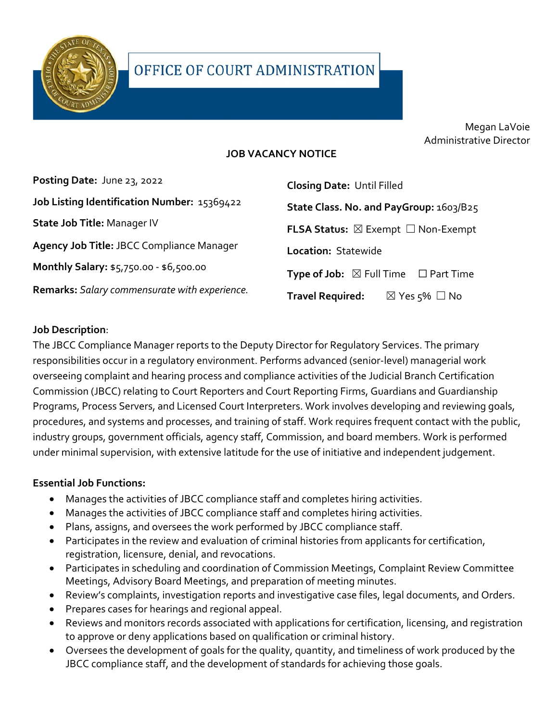

Megan LaVoie Administrative Director

### **JOB VACANCY NOTICE**

| Posting Date: June 23, 2022                   | <b>Closing Date: Until Filled</b>                          |
|-----------------------------------------------|------------------------------------------------------------|
| Job Listing Identification Number: 15369422   | State Class. No. and PayGroup: 1603/B25                    |
| State Job Title: Manager IV                   | <b>FLSA Status:</b> $\boxtimes$ Exempt $\Box$ Non-Exempt   |
| Agency Job Title: JBCC Compliance Manager     | Location: Statewide                                        |
| Monthly Salary: \$5,750.00 - \$6,500.00       | <b>Type of Job:</b> $\boxtimes$ Full Time $\Box$ Part Time |
| Remarks: Salary commensurate with experience. | <b>Travel Required:</b><br>$\boxtimes$ Yes $5\%$ $\Box$ No |

#### **Job Description**:

The JBCC Compliance Manager reports to the Deputy Director for Regulatory Services. The primary responsibilities occur in a regulatory environment. Performs advanced (senior-level) managerial work overseeing complaint and hearing process and compliance activities of the Judicial Branch Certification Commission (JBCC) relating to Court Reporters and Court Reporting Firms, Guardians and Guardianship Programs, Process Servers, and Licensed Court Interpreters. Work involves developing and reviewing goals, procedures, and systems and processes, and training of staff. Work requires frequent contact with the public, industry groups, government officials, agency staff, Commission, and board members. Work is performed under minimal supervision, with extensive latitude for the use of initiative and independent judgement.

#### **Essential Job Functions:**

- Manages the activities of JBCC compliance staff and completes hiring activities.
- Manages the activities of JBCC compliance staff and completes hiring activities.
- Plans, assigns, and oversees the work performed by JBCC compliance staff.
- Participates in the review and evaluation of criminal histories from applicants for certification, registration, licensure, denial, and revocations.
- Participates in scheduling and coordination of Commission Meetings, Complaint Review Committee Meetings, Advisory Board Meetings, and preparation of meeting minutes.
- Review's complaints, investigation reports and investigative case files, legal documents, and Orders.
- Prepares cases for hearings and regional appeal.
- Reviews and monitors records associated with applications for certification, licensing, and registration to approve or deny applications based on qualification or criminal history.
- Oversees the development of goals for the quality, quantity, and timeliness of work produced by the JBCC compliance staff, and the development of standards for achieving those goals.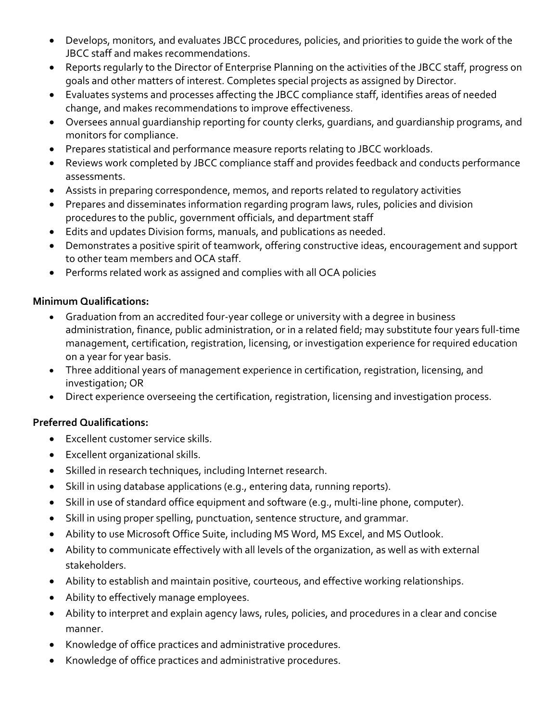- Develops, monitors, and evaluates JBCC procedures, policies, and priorities to guide the work of the JBCC staff and makes recommendations.
- Reports regularly to the Director of Enterprise Planning on the activities of the JBCC staff, progress on goals and other matters of interest. Completes special projects as assigned by Director.
- Evaluates systems and processes affecting the JBCC compliance staff, identifies areas of needed change, and makes recommendations to improve effectiveness.
- Oversees annual guardianship reporting for county clerks, guardians, and guardianship programs, and monitors for compliance.
- Prepares statistical and performance measure reports relating to JBCC workloads.
- Reviews work completed by JBCC compliance staff and provides feedback and conducts performance assessments.
- Assists in preparing correspondence, memos, and reports related to regulatory activities
- Prepares and disseminates information regarding program laws, rules, policies and division procedures to the public, government officials, and department staff
- Edits and updates Division forms, manuals, and publications as needed.
- Demonstrates a positive spirit of teamwork, offering constructive ideas, encouragement and support to other team members and OCA staff.
- Performs related work as assigned and complies with all OCA policies

#### **Minimum Qualifications:**

- Graduation from an accredited four-year college or university with a degree in business administration, finance, public administration, or in a related field; may substitute four years full-time management, certification, registration, licensing, or investigation experience for required education on a year for year basis.
- Three additional years of management experience in certification, registration, licensing, and investigation; OR
- Direct experience overseeing the certification, registration, licensing and investigation process.

## **Preferred Qualifications:**

- Excellent customer service skills.
- Excellent organizational skills.
- Skilled in research techniques, including Internet research.
- Skill in using database applications (e.g., entering data, running reports).
- Skill in use of standard office equipment and software (e.g., multi-line phone, computer).
- Skill in using proper spelling, punctuation, sentence structure, and grammar.
- Ability to use Microsoft Office Suite, including MS Word, MS Excel, and MS Outlook.
- Ability to communicate effectively with all levels of the organization, as well as with external stakeholders.
- Ability to establish and maintain positive, courteous, and effective working relationships.
- Ability to effectively manage employees.
- Ability to interpret and explain agency laws, rules, policies, and procedures in a clear and concise manner.
- Knowledge of office practices and administrative procedures.
- Knowledge of office practices and administrative procedures.